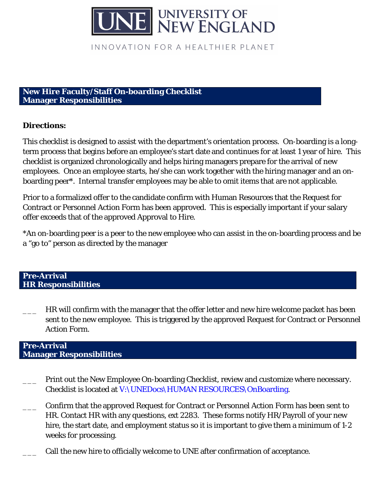

INNOVATION FOR A HEALTHIER PLANET

#### **New Hire Faculty/Staff On-boarding Checklist Manager Responsibilities**

# **Directions:**

This checklist is designed to assist with the department's orientation process. On-boarding is a longterm process that begins before an employee's start date and continues for at least 1 year of hire. This checklist is organized chronologically and helps hiring managers prepare for the arrival of new employees. Once an employee starts, he/she can work together with the hiring manager and an onboarding peer\*. Internal transfer employees may be able to omit items that are not applicable.

Prior to a formalized offer to the candidate confirm with Human Resources that the Request for Contract or Personnel Action Form has been approved. This is especially important if your salary offer exceeds that of the approved Approval to Hire.

\*An on-boarding peer is a peer to the new employee who can assist in the on-boarding process and be a "go to" person as directed by the manager

### **Pre-Arrival HR Responsibilities**

HR will confirm with the manager that the offer letter and new hire welcome packet has been sent to the new employee. This is triggered by the approved Request for Contract or Personnel Action Form.

## **Pre-Arrival Manager Responsibilities**

- Print out the New Employee On-boarding Checklist, review and customize where necessary. Checklist is located at V:\UNEDocs\HUMAN RESOURCES\OnBoarding.
- \_\_\_ Confirm that the approved Request for Contract or Personnel Action Form has been sent to HR. Contact HR with any questions, ext 2283. These forms notify HR/Payroll of your new hire, the start date, and employment status so it is important to give them a minimum of 1-2 weeks for processing.
- Call the new hire to officially welcome to UNE after confirmation of acceptance.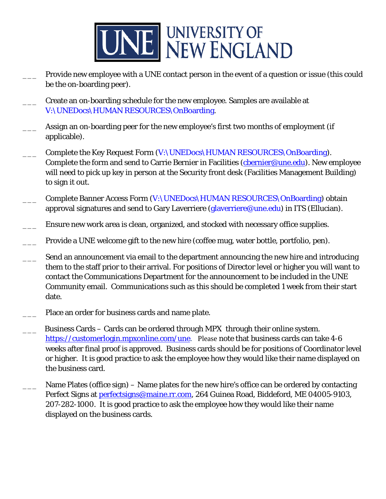

- Provide new employee with a UNE contact person in the event of a question or issue (this could be the on-boarding peer).
- \_\_\_ Create an on-boarding schedule for the new employee. Samples are available at V:\UNEDocs\HUMAN RESOURCES\OnBoarding.
- Assign an on-boarding peer for the new employee's first two months of employment (if applicable).
- Complete the Key Request Form (V:\UNEDocs\HUMAN RESOURCES\OnBoarding). Complete the form and send to Carrie Bernier in Facilities (chernier@une.edu). New employee will need to pick up key in person at the Security front desk (Facilities Management Building) to sign it out.
- Complete Banner Access Form (V:\UNEDocs\HUMAN RESOURCES\OnBoarding) obtain approval signatures and send to Gary Laverriere (glaverriere@une.edu) in ITS (Ellucian).
- Ensure new work area is clean, organized, and stocked with necessary office supplies.
- Provide a UNE welcome gift to the new hire (coffee mug, water bottle, portfolio, pen).
- Send an announcement via email to the department announcing the new hire and introducing them to the staff prior to their arrival. For positions of Director level or higher you will want to contact the Communications Department for the announcement to be included in the UNE Community email. Communications such as this should be completed 1 week from their start date.
- Place an order for business cards and name plate.
- Business Cards Cards can be ordered through MPX through their online system. [https://customerlogin.mpxonline.com/une.](https://customerlogin.mpxonline.com/une) Please note that business cards can take 4-6 weeks after final proof is approved. Business cards should be for positions of Coordinator level or higher. It is good practice to ask the employee how they would like their name displayed on the business card.
- Name Plates (office sign) Name plates for the new hire's office can be ordered by contacting Perfect Signs at *perfectsigns@maine.rr.com*, 264 Guinea Road, Biddeford, ME 04005-9103, 207-282-1000. It is good practice to ask the employee how they would like their name displayed on the business cards.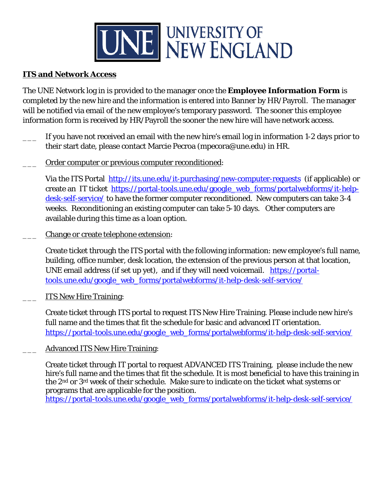

# **ITS and Network Access**

The UNE Network log in is provided to the manager once the **Employee Information Form** is completed by the new hire and the information is entered into Banner by HR/Payroll. The manager will be notified via email of the new employee's temporary password. The sooner this employee information form is received by HR/Payroll the sooner the new hire will have network access.

- If you have not received an email with the new hire's email log in information 1-2 days prior to their start date, please contact Marcie Pecroa (mpecora@une.edu) in HR.
- Order computer or previous computer reconditioned:

Via the ITS Portal <http://its.une.edu/it-purchasing/new-computer-requests> (if applicable) or create an IT ticket [https://portal-tools.une.edu/google\\_web\\_forms/portalwebforms/it-help](https://portal-tools.une.edu/google_web_forms/portalwebforms/it-help-desk-self-service/)[desk-sel](https://portal-tools.une.edu/google_web_forms/portalwebforms/it-help-desk-self-service/)f-service/ to have the former computer reconditioned. New computers can take 3-4 weeks. Reconditioning an existing computer can take 5-10 days. Other computers are available during this time as a loan option.

Change or create telephone extension:

Create ticket through the ITS portal with the following information: new employee's full name, building, office number, desk location, the extension of the previous person at that location, UNE email address (if set up yet), and if they will need voicemail. [https://portal](https://portal-tools.une.edu/google_web_forms/portalwebforms/it-help-desk-self-service/)[tools.une.edu/google\\_web\\_forms/por](https://portal-tools.une.edu/google_web_forms/portalwebforms/it-help-desk-self-service/)talwebforms/it-help-desk-self-service/

ITS New Hire Training:

Create ticket through ITS portal to request ITS New Hire Training. Please include new hire's full name and the times that fit the schedule for basic and advanced IT orientation. [https://portal-tools.une.edu/google\\_web\\_forms/portalwebforms/it-help-desk-self-service/](https://portal-tools.une.edu/google_web_forms/portalwebforms/it-help-desk-self-service/)

Advanced ITS New Hire Training:

Create ticket through IT portal to request ADVANCED ITS Training, please include the new hire's full name and the times that fit the schedule. It is most beneficial to have this training in the 2nd or 3rd week of their schedule. Make sure to indicate on the ticket what systems or programs that are applicable for the position.

[https://portal-tools.une.edu/google\\_web\\_forms/portalwebforms/it-help-desk-self-service/](https://portal-tools.une.edu/google_web_forms/portalwebforms/it-help-desk-self-service/)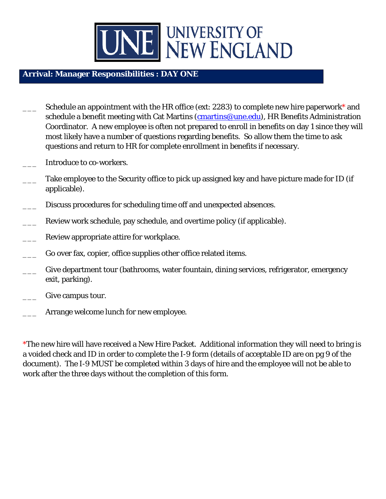

# **Arrival: Manager Responsibilities : DAY ONE**

- Schedule an appointment with the HR office (ext: 2283) to complete new hire paperwork\* and schedule a benefit meeting with Cat Martins (*cmartins@une.edu*), HR Benefits Administration Coordinator. A new employee is often not prepared to enroll in benefits on day 1 since they will most likely have a number of questions regarding benefits. So allow them the time to ask questions and return to HR for complete enrollment in benefits if necessary.
- Introduce to co-workers.
- Take employee to the Security office to pick up assigned key and have picture made for ID (if applicable).
- Discuss procedures for scheduling time off and unexpected absences.
- Review work schedule, pay schedule, and overtime policy (if applicable).
- Review appropriate attire for workplace.
- Go over fax, copier, office supplies other office related items.
- Give department tour (bathrooms, water fountain, dining services, refrigerator, emergency exit, parking).
- Give campus tour.
- Arrange welcome lunch for new employee.

\*The new hire will have received a New Hire Packet. Additional information they will need to bring is a voided check and ID in order to complete the I-9 form (details of acceptable ID are on pg 9 of the document). The I-9 MUST be completed within 3 days of hire and the employee will not be able to work after the three days without the completion of this form.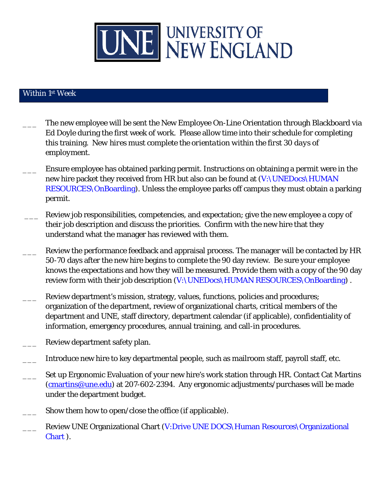

# Within 1st Week

- The new employee will be sent the New Employee On-Line Orientation through Blackboard via Ed Doyle during the first week of work. Please allow time into their schedule for completing this training. *New hires must complete the orientation within the first 30 days of employment.*
- Ensure employee has obtained parking permit. Instructions on obtaining a permit were in the new hire packet they received from HR but also can be found at (V:\UNEDocs\HUMAN RESOURCES\OnBoarding). Unless the employee parks off campus they must obtain a parking permit.
- Review job responsibilities, competencies, and expectation; give the new employee a copy of their job description and discuss the priorities. Confirm with the new hire that they understand what the manager has reviewed with them.
- Review the performance feedback and appraisal process. The manager will be contacted by HR 50-70 days after the new hire begins to complete the 90 day review. Be sure your employee knows the expectations and how they will be measured. Provide them with a copy of the 90 day review form with their job description (V:\UNEDocs\HUMAN RESOURCES\OnBoarding).
- Review department's mission, strategy, values, functions, policies and procedures; organization of the department, review of organizational charts, critical members of the department and UNE, staff directory, department calendar (if applicable), confidentiality of information, emergency procedures, annual training, and call-in procedures.
- Review department safety plan.
- Introduce new hire to key departmental people, such as mailroom staff, payroll staff, etc.
- Set up Ergonomic Evaluation of your new hire's work station through HR. Contact Cat Martins [\(cmartins@une.edu\)](mailto:cmartins@une.edu) at 207-602-2394. Any ergonomic adjustments/purchases will be made under the department budget.
- Show them how to open/close the office (if applicable).
- Review UNE Organizational Chart (V:Drive UNE DOCS\Human Resources\Organizational Chart ).